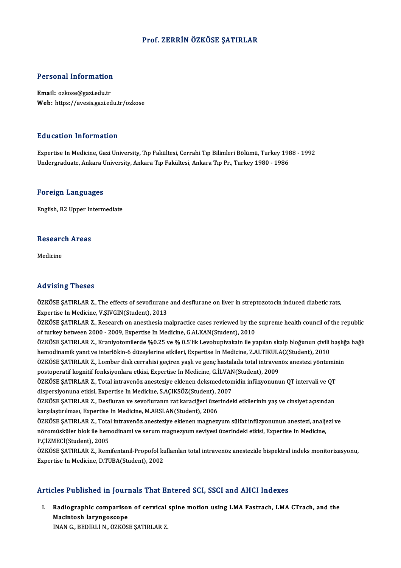### Prof. ZERRİN ÖZKÖSE ŞATIRLAR

# Personal Information

Personal Information<br>Email: ozkose@gazi.edu.tr<br>Web: https://avesis.gari.ed Email: ozkose@gazi.edu.tr<br>Web: https://avesis.gazi.edu.tr/ozkose

### Education Information

Education Information<br>Expertise In Medicine, Gazi University, Tıp Fakültesi, Cerrahi Tıp Bilimleri Bölümü, Turkey 1988 - 1992<br>Undergraduate Ankara University, Ankara Tıp Fakültesi, Ankara Tıp Pr. Turkey 1990, 1996 2 a a sa sensi 1111 si 1114 s.<br>Expertise In Medicine, Gazi University, Tıp Fakültesi, Cerrahi Tıp Bilimleri Bölümü, Turkey 198<br>Undergraduate, Ankara University, Ankara Tıp Fakültesi, Ankara Tıp Pr., Turkey 1980 - 1986 Undergraduate, Ankara University, Ankara Tıp Fakültesi, Ankara Tıp Pr., Turkey 1980 - 1986<br>Foreign Languages

English,B2Upper Intermediate

## engusn, B2 Opper in<br>Research Areas <mark>Resear</mark>c<br><sub>Medicine</sub>

# Advising Theses

Advising Theses<br>ÖZKÖSE ŞATIRLAR Z., The effects of sevoflurane and desflurane on liver in streptozotocin induced diabetic rats,<br>Expertise In Medisine, V.S.W.C.IN.(Student), 2012 Experiences<br>OZKÖSE ŞATIRLAR Z., The effects of sevoflurane<br>Expertise In Medicine, V.ŞIVGIN(Student), 2013<br>ÖZKÖSE SATIPLAR Z. Besearsh on anesthesia m ÖZKÖSE ŞATIRLAR Z., The effects of sevoflurane and desflurane on liver in streptozotocin induced diabetic rats,<br>Expertise In Medicine, V.ŞIVGIN(Student), 2013<br>ÖZKÖSE ŞATIRLAR Z., Research on anesthesia malpractice cases re

Expertise In Medicine, V.ŞIVGIN(Student), 2013<br>ÖZKÖSE ŞATIRLAR Z., Research on anesthesia malpractice cases reviewed by the<br>of turkey between 2000 - 2009, Expertise In Medicine, G.ALKAN(Student), 2010<br>ÖZKÖSE SATIBLAR Z. Kr ÖZKÖSE ŞATIRLAR Z., Research on anesthesia malpractice cases reviewed by the supreme health council of the republic<br>of turkey between 2000 - 2009, Expertise In Medicine, G.ALKAN(Student), 2010<br>ÖZKÖSE ŞATIRLAR Z., Kraniyoto

of turkey between 2000 - 2009, Expertise In Medicine, G.ALKAN(Student), 2010<br>ÖZKÖSE ŞATIRLAR Z., Kraniyotomilerde %0.25 ve % 0.5'lik Levobupivakain ile yapılan skalp bloğunun çivili<br>hemodinamik yanıt ve interlökin-6 düzeyl ÖZKÖSE ŞATIRLAR Z., Kraniyotomilerde %0.25 ve % 0.5'lik Levobupivakain ile yapılan skalp bloğunun çivili başlığ<br>hemodinamik yanıt ve interlökin-6 düzeylerine etkileri, Expertise In Medicine, Z.ALTIKULAÇ(Student), 2010<br>ÖZKÖ

hemodinamik yanıt ve interlökin-6 düzeylerine etkileri, Expertise In Medicine, Z.ALTIKUL.<br>ÖZKÖSE ŞATIRLAR Z., Lomber disk cerrahisi geçiren yaşlı ve genç hastalada total intraven<br>postoperatif kognitif fonksiyonlara etkisi, ÖZKÖSE ŞATIRLAR Z., Lomber disk cerrahisi geçiren yaşlı ve genç hastalada total intravenöz anestezi yönteminin<br>postoperatif kognitif fonksiyonlara etkisi, Expertise In Medicine, G.İLVAN(Student), 2009<br>ÖZKÖSE ŞATIRLAR Z., T

postoperatif kognitif fonksiyonlara etkisi, Expertise In Medicine, G.İLVAN<br>ÖZKÖSE ŞATIRLAR Z., Total intravenöz anesteziye eklenen deksmedeton<br>dispersiyonuna etkisi, Expertise In Medicine, S.AÇIKSÖZ(Student), 2007<br>ÖZKÖSE S ÖZKÖSE ŞATIRLAR Z., Total intravenöz anesteziye eklenen deksmedetomidin infüzyonunun QT intervali ve QT<br>dispersiyonuna etkisi, Expertise In Medicine, S.AÇIKSÖZ(Student), 2007<br>ÖZKÖSE ŞATIRLAR Z., Desfluran ve sevofluranın r

dispersiyonuna etkisi, Expertise In Medicine, S.AÇIKSÖZ(Student), 2<br>ÖZKÖSE ŞATIRLAR Z., Desfluran ve sevofluranın rat karaciğeri üzen<br>karşılaştırılması, Expertise In Medicine, M.ARSLAN(Student), 2006<br>ÖZKÖSE SATIPLAR Z. Tot ÖZKÖSE ŞATIRLAR Z., Desfluran ve sevofluranın rat karaciğeri üzerindeki etkilerinin yaş ve cinsiyet açısından<br>karşılaştırılması, Expertise In Medicine, M.ARSLAN(Student), 2006<br>ÖZKÖSE ŞATIRLAR Z., Total intravenöz anesteziy

karşılaştırılması, Expertise In Medicine, M.ARSLAN(Student), 2006<br>ÖZKÖSE ŞATIRLAR Z., Total intravenöz anesteziye eklenen magnezyum sülfat infüzyonunun anestezi, analje<br>nöromüsküler blok ile hemodinami ve serum magnezyum s ÖZKÖSE ŞATIRLAR Z., Total<br>nöromüsküler blok ile hem<br>P.ÇİZMECİ(Student), 2005<br>ÖZKÖSE SATIBLAR Z., Bom nöromüsküler blok ile hemodinami ve serum magnezyum seviyesi üzerindeki etkisi, Expertise In Medicine,<br>P.ÇİZMECİ(Student), 2005<br>ÖZKÖSE ŞATIRLAR Z., Remifentanil-Propofol kullanılan total intravenöz anestezide bispektral in

P.ÇİZMECİ(Student), 2005<br>ÖZKÖSE ŞATIRLAR Z., Remifentanil-Propofol kı<br>Expertise In Medicine, D.TUBA(Student), 2002

# Expertise In Medicine, D.TUBA(Student), 2002<br>Articles Published in Journals That Entered SCI, SSCI and AHCI Indexes

rticles Published in Journals That Entered SCI, SSCI and AHCI Indexes<br>I. Radiographic comparison of cervical spine motion using LMA Fastrach, LMA CTrach, and the<br>Magintach lawngassane Macintosh laryngoscope<br>Macintosh laryngoscope<br>Macintosh laryngoscope<br>INAN C. BEDIBLİ N. ÖZVÖS Macintosh laryngoscope<br>İNAN G., BEDİRLİ N., ÖZKÖSE ŞATIRLAR Z.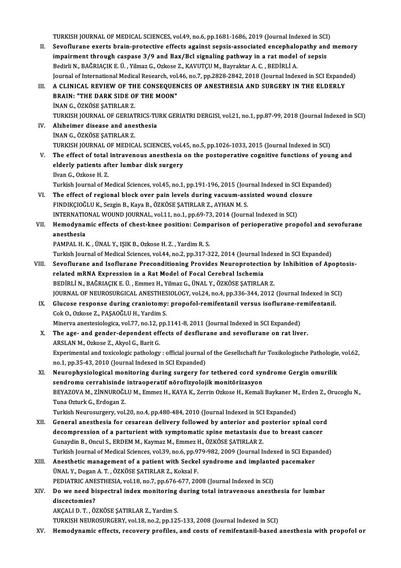TURKISH JOURNAL OF MEDICAL SCIENCES, vol.49, no.6, pp.1681-1686, 2019 (Journal Indexed in SCI)<br>Seve flurenc events brain protective effects essainst sensis essessisted ensembelenathy and

- TURKISH JOURNAL OF MEDICAL SCIENCES, vol.49, no.6, pp.1681-1686, 2019 (Journal Indexed in SCI)<br>II. Sevoflurane exerts brain-protective effects against sepsis-associated encephalopathy and memory<br>imnainmant through geopoee TURKISH JOURNAL OF MEDICAL SCIENCES, vol.49, no.6, pp.1681-1686, 2019 (Journal Indexed in SCI<br>Sevoflurane exerts brain-protective effects against sepsis-associated encephalopathy and<br>impairment through caspase 3/9 and Bax/ Sevoflurane exerts brain-protective effects against sepsis-associated encephalo<br>impairment through caspase 3/9 and Bax/Bcl signaling pathway in a rat model<br>Bedirli N., BAĞRIAÇIK E. Ü. , Yilmaz G., Ozkose Z., KAVUTÇU M., Ba impairment through caspase 3/9 and Bax/Bcl signaling pathway in a rat model of sepsis<br>Bedirli N., BAĞRIAÇIK E. Ü. , Yilmaz G., Ozkose Z., KAVUTÇU M., Bayraktar A. C. , BEDİRLİ A.<br>Journal of International Medical Research, Bedirli N., BAĞRIAÇIK E. Ü. , Yilmaz G., Ozkose Z., KAVUTÇU M., Bayraktar A. C. , BEDİRLİ A.<br>Journal of International Medical Research, vol.46, no.7, pp.2828-2842, 2018 (Journal Indexed in SCI Expandenti<br>III.
- Journal of International Medical Research, vol.<br>A CLINICAL REVIEW OF THE CONSEQUEN<br>BRAIN: "THE DARK SIDE OF THE MOON"<br>INAN C ÖZKÖSE SATIPLAP Z A CLINICAL REVIEW OF TH<br>BRAIN: "THE DARK SIDE O!<br>İNAN G., ÖZKÖSE ŞATIRLAR Z.<br>TURKISH IQURNAL OF CERIAT BRAIN: "THE DARK SIDE OF THE MOON"<br>İNAN G., ÖZKÖSE ŞATIRLAR Z.<br>TURKISH JOURNAL OF GERIATRICS-TURK GERIATRI DERGISI, vol.21, no.1, pp.87-99, 2018 (Journal Indexed in SCI)<br>Alpheimer disease and anesthesia
- INAN G., ÖZKÖSE ŞATIRLAR Z.<br>TURKISH JOURNAL OF GERIATRICS-TU<br>IV. Alzheimer disease and anesthesia<br>INAN G., ÖZKÖSE ŞATIRLAR Z. TURKISH JOURNAL OF GERIAT<br>Alzheimer disease and ane<br>İNAN G., ÖZKÖSE ŞATIRLAR Z.<br>TURKISH JOURNAL OF MEDICA TURKISH JOURNAL OF MEDICAL SCIENCES, vol.45, no.5, pp.1026-1033, 2015 (Journal Indexed in SCI)
- V. The effect of total intravenous anesthesia on the postoperative cognitive functions of young and TURKISH JOURNAL OF MEDICAL SCIENCES, vol.4<br>The effect of total intravenous anesthesia<br>elderly patients after lumbar disk surgery<br><sup>Ilvan C.</sup> Orkese <sup>H. 7</sup> The effect of total<br>elderly patients af<br>Ilvan G., Ozkose H. Z.<br>Turkish Journal of M elderly patients after lumbar disk surgery<br>Ilvan G., Ozkose H. Z.<br>Turkish Journal of Medical Sciences, vol.45, no.1, pp.191-196, 2015 (Journal Indexed in SCI Expanded)<br>The effect of negional block ever nain levels during y

Ilvan G., Ozkose H. Z.<br>Turkish Journal of Medical Sciences, vol.45, no.1, pp.191-196, 2015 (Journal Indexed in SCI Expandle VI.<br>VI. The effect of regional block over pain levels during vacuum-assisted wound closure<br>FINDIKC Turkish Journal of Medical Sciences, vol.45, no.1, pp.191-196, 2015 (Journal of Medical Sciences, vol.45, no.1, pp.191-196, 2015 (Journal of The effect of regional block over pain levels during vacuum-ass<br>FINDIKÇIOĞLU K., The effect of regional block over pain levels during vacuum-assisted wound clo<br>FINDIKÇIOĞLU K., Sezgin B., Kaya B., ÖZKÖSE ŞATIRLAR Z., AYHAN M. S.<br>INTERNATIONAL WOUND JOURNAL, vol.11, no.1, pp.69-73, 2014 (Journal Indexed FINDIKÇIOĞLU K., Sezgin B., Kaya B., ÖZKÖSE ŞATIRLAR Z., AYHAN M. S.<br>INTERNATIONAL WOUND JOURNAL, vol.11, no.1, pp.69-73, 2014 (Journal Indexed in SCI)<br>VII. Hemodynamic effects of chest-knee position: Comparison of per

INTERNATIC<br>Hemodynai<br>anesthesia<br>PAMPAL H.L Hemodynamic effects of chest-knee position: Comp<br>anesthesia<br>PAMPAL H. K. , ÜNAL Y., IŞIK B., Ozkose H. Z. , Yardim R. S.<br>Turkich Journal of Modical Sciences, vol 44, no 2, nn 217, 2

anesthesia<br>PAMPAL H. K. , ÜNAL Y., IŞIK B., Ozkose H. Z. , Yardim R. S.<br>Turkish Journal of Medical Sciences, vol.44, no.2, pp.317-322, 2014 (Journal Indexed in SCI Expanded)

- PAMPAL H. K. , ÜNAL Y., IŞIK B., Ozkose H. Z. , Yardim R. S.<br>Turkish Journal of Medical Sciences, vol.44, no.2, pp.317-322, 2014 (Journal Indexed in SCI Expanded)<br>VIII. Sevoflurane and Isoflurane Preconditioning Provides N Turkish Journal of Medical Sciences, vol.44, no.2, pp.317-322, 2014 (Journal In<br>Sevoflurane and Isoflurane Preconditioning Provides Neuroprotection<br>related mRNA Expression in a Rat Model of Focal Cerebral Ischemia<br>PEDIPLI Sevoflurane and Isoflurane Preconditioning Provides Neuroprotection **i**<br>related mRNA Expression in a Rat Model of Focal Cerebral Ischemia<br>BEDİRLİ N., BAĞRIAÇIK E. Ü. , Emmez H., Yilmaz G., ÜNAL Y., ÖZKÖSE ŞATIRLAR Z.<br>JOUPN related mRNA Expression in a Rat Model of Focal Cerebral Ischemia<br>BEDİRLİ N., BAĞRIAÇIK E. Ü. , Emmez H., Yilmaz G., ÜNAL Y., ÖZKÖSE ŞATIRLAR Z.<br>JOURNAL OF NEUROSURGICAL ANESTHESIOLOGY, vol.24, no.4, pp.336-344, 2012 (Jour BEDİRLİ N., BAĞRIAÇIK E. Ü. , Emmez H., Yilmaz G., ÜNAL Y., ÖZKÖSE ŞATIRLAR Z.<br>JOURNAL OF NEUROSURGICAL ANESTHESIOLOGY, vol.24, no.4, pp.336-344, 2012 (Journal Indexed in SC<br>IX. Glucose response during craniotomy: propofol
- CokO.,Ozkose Z.,PAŞAOĞLUH.,YardimS. Glucose response during craniotomy: propofol-remifentanil versus isoflurane-re<br>Cok O., Ozkose Z., PAŞAOĞLU H., Yardim S.<br>Minerva anestesiologica, vol.77, no.12, pp.1141-8, 2011 (Journal Indexed in SCI Expanded)<br>The 250, an Minerva anestesiologica, vol.77, no.12, pp.1141-8, 2011 (Journal Indexed in SCI Expanded)
- X. The age- and gender-dependent effects of desflurane and sevoflurane on rat liver. The age- and gender-dependent effects of desflurane and sevoflurane on rat liver.<br>ARSLAN M., Ozkose Z., Akyol G., Barit G.<br>Experimental and toxicologic pathology : official journal of the Gesellschaft fur Toxikologische Pa ARSLAN M., Ozkose Z., Akyol G., Barit G.<br>Experimental and toxicologic pathology : official journal<br>no.1, pp.35-43, 2010 (Journal Indexed in SCI Expanded)<br>Nourophysiological monitoring during surgery for
- Experimental and toxicologic pathology : official journal of the Gesellschaft fur Toxikologische Pathologie<br>no.1, pp.35-43, 2010 (Journal Indexed in SCI Expanded)<br>XI. Neurophysiological monitoring during surgery for tether no.1, pp.35-43, 2010 (Journal Indexed in SCI Expanded)<br>Neurophysiological monitoring during surgery for tethered cord syn<br>sendromu cerrahisinde intraoperatif nörofizyolojik monitörizasyon<br>BEVAZOVA M. ZINNUROČLUM, Emmer H. Neurophysiological monitoring during surgery for tethered cord syndrome Gergin omurilik<br>sendromu cerrahisinde intraoperatif nörofizyolojik monitörizasyon<br>BEYAZOVA M., ZİNNUROĞLU M., Emmez H., KAYA K., Zerrin Ozkose H., Kem sendromu cerrahisinde intraoperatif nörofizyolojik monitörizasyon<br>BEYAZOVA M., ZİNNUROĞLU M., Emmez H., KAYA K., Zerrin Ozkose H., Kemali Baykaner M<br>Tuna Ozturk G., Erdogan Z.<br>Turkish Neurosurgery, vol.20, no.4, pp.480-484 BEYAZOVA M., ZİNNUROĞLU M., Emmez H., KAYA K., Zerrin Ozkose H., Kemali Baykaner M<br>Tuna Ozturk G., Erdogan Z.<br>Turkish Neurosurgery, vol.20, no.4, pp.480-484, 2010 (Journal Indexed in SCI Expanded)<br>Conoral anesthesia for se

- XII. General anesthesia for cesarean delivery followed by anterior and posterior spinal cord Turkish Neurosurgery, vol.20, no.4, pp.480-484, 2010 (Journal Indexed in SCI Expanded)<br>General anesthesia for cesarean delivery followed by anterior and posterior spinal core<br>decompression of a parturient with symptomatic General anesthesia for cesarean delivery followed by anterior and p<br>decompression of a parturient with symptomatic spine metastasis di<br>Gunaydin B., Oncul S., ERDEM M., Kaymaz M., Emmez H., ÖZKÖSE ŞATIRLAR Z.<br>Turkish Journa decompression of a parturient with symptomatic spine metastasis due to breast cancer<br>Gunaydin B., Oncul S., ERDEM M., Kaymaz M., Emmez H., ÖZKÖSE ŞATIRLAR Z.<br>Turkish Journal of Medical Sciences, vol.39, no.6, pp.979-982, 2 Gunaydin B., Oncul S., ERDEM M., Kaymaz M., Emmez H., ÖZKÖSE ŞATIRLAR Z.<br>Turkish Journal of Medical Sciences, vol.39, no.6, pp.979-982, 2009 (Journal Indexed in SCI Expan<br>XIII. Anesthetic management of a patient with Secke
- Turkish Journal of Medical Sciences, vol.39, no.6, pp.979-982, 2009 (Journal Indexed in SCI Expanded)<br>Anesthetic management of a patient with Seckel syndrome and implanted pacemaker<br>ÜNAL Y., Dogan A. T. , ÖZKÖSE ŞATIRLAR Z Anesthetic management of a patient with Seckel syndrome and implante<br>ÜNAL Y., Dogan A. T. , ÖZKÖSE ŞATIRLAR Z., Koksal F.<br>PEDIATRIC ANESTHESIA, vol.18, no.7, pp.676-677, 2008 (Journal Indexed in SCI)<br>De vye need bispestrel UNAL Y., Dogan A. T. , ÖZKÖSE ŞATIRLAR Z., Koksal F.<br>PEDIATRIC ANESTHESIA, vol.18, no.7, pp.676-677, 2008 (Journal Indexed in SCI)<br>XIV. Do we need bispectral index monitoring during total intravenous anesthesia for lum
- PEDIATRIC ANESTHESIA, vol.18, no.7, pp.676-677, 2008 (Journal Indexed in SCI)<br>Do we need bispectral index monitoring during total intravenous anest<br>discectomies?<br>AKCALI D. T., ÖZKÖSE ŞATIRLAR Z., Yardim S. Do we need bispectral index monitoring<br>discectomies?<br>AKÇALI D. T. , ÖZKÖSE ŞATIRLAR Z., Yardim S.<br>TURKISH NEUPOSURGERY vol 18 no 2 nn 125

TURKISH NEUROSURGERY, vol.18, no.2, pp.125-133, 2008 (Journal Indexed in SCI)

XV. Hemodynamic effects, recovery profiles, and costs of remifentanil-based anesthesia with propofol or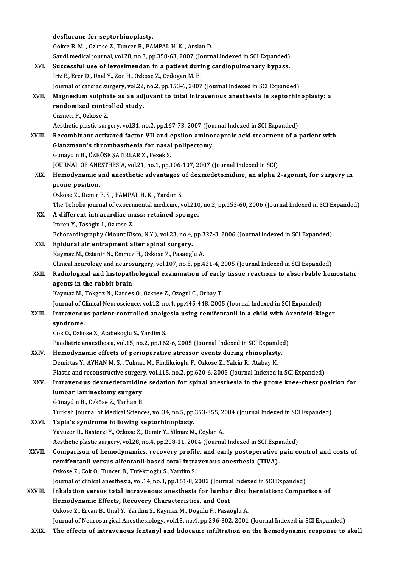|         | desflurane for septorhinoplasty.                                                                              |
|---------|---------------------------------------------------------------------------------------------------------------|
|         | Gokce B. M., Ozkose Z., Tuncer B., PAMPAL H. K., Arslan D.                                                    |
|         | Saudi medical journal, vol.28, no.3, pp.358-63, 2007 (Journal Indexed in SCI Expanded)                        |
| XVI.    | Successful use of levosimendan in a patient during cardiopulmonary bypass.                                    |
|         | Iriz E., Erer D., Unal Y., Zor H., Ozkose Z., Ozdogan M. E.                                                   |
|         | Journal of cardiac surgery, vol.22, no.2, pp.153-6, 2007 (Journal Indexed in SCI Expanded)                    |
| XVII.   | Magnesium sulphate as an adjuvant to total intravenous anesthesia in septorhinoplasty: a                      |
|         | randomized controlled study.                                                                                  |
|         | Cizmeci P., Ozkose Z.                                                                                         |
|         | Aesthetic plastic surgery, vol.31, no.2, pp.167-73, 2007 (Journal Indexed in SCI Expanded)                    |
| XVIII.  | Recombinant activated factor VII and epsilon aminocaproic acid treatment of a patient with                    |
|         | Glanzmann's thrombasthenia for nasal polipectomy                                                              |
|         | Gunaydin B., ÖZKÖSE ŞATIRLAR Z., Pezek S.                                                                     |
|         | JOURNAL OF ANESTHESIA, vol.21, no.1, pp.106-107, 2007 (Journal Indexed in SCI)                                |
| XIX.    | Hemodynamic and anesthetic advantages of dexmedetomidine, an alpha 2-agonist, for surgery in                  |
|         | prone position                                                                                                |
|         | Ozkose Z., Demir F. S., PAMPAL H. K., Yardim S.                                                               |
|         | The Tohoku journal of experimental medicine, vol.210, no.2, pp.153-60, 2006 (Journal Indexed in SCI Expanded) |
| XX.     | A different intracardiac mass: retained sponge.                                                               |
|         | Imren Y., Tasoglu I., Ozkose Z.                                                                               |
|         | Echocardiography (Mount Kisco, N.Y.), vol.23, no.4, pp.322-3, 2006 (Journal Indexed in SCI Expanded)          |
| XXI.    | Epidural air entrapment after spinal surgery.                                                                 |
|         | Kaymaz M., Oztanir N., Emmez H., Ozkose Z., Pasaoglu A.                                                       |
|         | Clinical neurology and neurosurgery, vol.107, no.5, pp.421-4, 2005 (Journal Indexed in SCI Expanded)          |
| XXII.   | Radiological and histopathological examination of early tissue reactions to absorbable hemostatic             |
|         | agents in the rabbit brain                                                                                    |
|         | Kaymaz M., Tokgoz N., Kardes O., Ozkose Z., Ozogul C., Orbay T.                                               |
|         | Journal of Clinical Neuroscience, vol.12, no.4, pp.445-448, 2005 (Journal Indexed in SCI Expanded)            |
| XXIII.  | Intravenous patient-controlled analgesia using remifentanil in a child with Axenfeld-Rieger                   |
|         | syndrome.                                                                                                     |
|         | Cok O., Ozkose Z., Atabekoglu S., Yardim S.                                                                   |
|         | Paediatric anaesthesia, vol.15, no.2, pp.162-6, 2005 (Journal Indexed in SCI Expanded)                        |
| XXIV.   | Hemodynamic effects of perioperative stressor events during rhinoplasty.                                      |
|         | Demirtas Y., AYHAN M. S., Tulmac M., Findikcioglu F., Ozkose Z., Yalcin R., Atabay K.                         |
|         | Plastic and reconstructive surgery, vol.115, no.2, pp.620-6, 2005 (Journal Indexed in SCI Expanded)           |
| XXV.    | Intravenous dexmedetomidine sedation for spinal anesthesia in the prone knee-chest position for               |
|         | lumbar laminectomy surgery                                                                                    |
|         | Günaydin B., Özköse Z., Tarhan B.                                                                             |
|         | Turkish Journal of Medical Sciences, vol.34, no.5, pp.353-355, 2004 (Journal Indexed in SCI Expanded)         |
| XXVI.   | Tapia's syndrome following septorhinoplasty.                                                                  |
|         | Yavuzer R., Basterzi Y., Ozkose Z., Demir Y., Yilmaz M., Ceylan A.                                            |
|         | Aesthetic plastic surgery, vol.28, no.4, pp.208-11, 2004 (Journal Indexed in SCI Expanded)                    |
| XXVII.  | Comparison of hemodynamics, recovery profile, and early postoperative pain control and costs of               |
|         | remifentanil versus alfentanil-based total intravenous anesthesia (TIVA).                                     |
|         | Ozkose Z., Cok O., Tuncer B., Tufekcioglu S., Yardim S.                                                       |
|         | Journal of clinical anesthesia, vol.14, no.3, pp.161-8, 2002 (Journal Indexed in SCI Expanded)                |
| XXVIII. | Inhalation versus total intravenous anesthesia for lumbar disc herniation: Comparison of                      |
|         | Hemodynamic Effects, Recovery Characteristics, and Cost                                                       |
|         | Ozkose Z., Ercan B., Unal Y., Yardim S., Kaymaz M., Dogulu F., Pasaoglu A.                                    |
|         | Journal of Neurosurgical Anesthesiology, vol.13, no.4, pp.296-302, 2001 (Journal Indexed in SCI Expanded)     |
| XXIX.   | The effects of intravenous fentanyl and lidocaine infiltration on the hemodynamic response to skull           |
|         |                                                                                                               |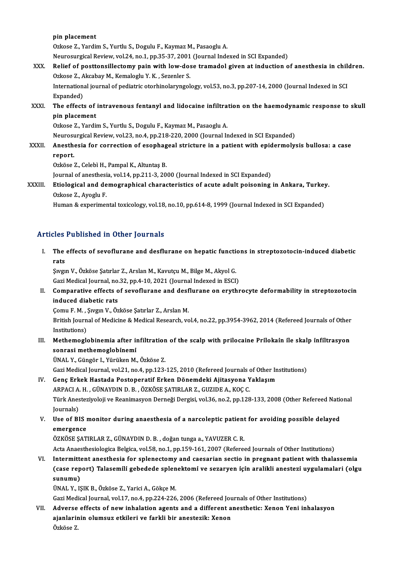pin placement

Ozkose Z., Yardim S., Yurtlu S., Dogulu F., Kaymaz M., Pasaoglu A.

Neurosurgical Review, vol.24, no.1, pp.35-37, 2001 (Journal Indexed in SCI Expanded)

## Ozkose Z., Yardim S., Yurtlu S., Dogulu F., Kaymaz M., Pasaoglu A.<br>Neurosurgical Review, vol.24, no.1, pp.35-37, 2001 (Journal Indexed in SCI Expanded)<br>XXX. Relief of posttonsillectomy pain with low-dose tramadol given at Neurosurgical Review, vol.24, no.1, pp.35-37, 2001<br>Relief of posttonsillectomy pain with low-dos<br>Ozkose Z., Akcabay M., Kemaloglu Y. K. , Sezenler S. Relief of posttonsillectomy pain with low-dose tramadol given at induction of anesthesia in chilo<br>Ozkose Z., Akcabay M., Kemaloglu Y. K. , Sezenler S.<br>International journal of pediatric otorhinolaryngology, vol.53, no.3, p

Ozkose Z., Akcabay M., Kemaloglu Y. K. , Sezenler S.<br>International journal of pediatric otorhinolaryngology, vol.53, no.3, pp.207-14, 2000 (Journal Indexed in SCI<br>Expanded) International journal of pediatric otorhinolaryngology, vol.53, no.3, pp.207-14, 2000 (Journal Indexed in SCI<br>Expanded)<br>XXXI. The effects of intravenous fentanyl and lidocaine infiltration on the haemodynamic response to s

## Expanded)<br>The effects of<br>pin placement<br>Orkese 7, Vardii pin placement<br>Ozkose Z., Yardim S., Yurtlu S., Dogulu F., Kaymaz M., Pasaoglu A. pin placement<br>Ozkose Z., Yardim S., Yurtlu S., Dogulu F., Kaymaz M., Pasaoglu A.<br>Neurosurgical Review, vol.23, no.4, pp.218-220, 2000 (Journal Indexed in SCI Expanded)<br>Anesthesia for correction of esenhagoal stristure in a

XXXII. Anesthesia for correction of esophageal stricture in a patient with epidermolysis bullosa: a case<br>report. Neuros<mark>t</mark><br>Anesthe<br>report. report.<br>Ozköse Z., Celebì H., Pampal K., Altuntaş B.<br>Journal of anesthesia, vol.14, pp.211-3, 2000 (Journal Indexed in SCI Expanded)<br>Etiologianl and demographical characteristics of asute adult poisoning.

Ozköse Z., Celebì H., Pampal K., Altuntaş B.

## Ozköse Z., Celebì H., Pampal K., Altuntaş B.<br>Journal of anesthesia, vol.14, pp.211-3, 2000 (Journal Indexed in SCI Expanded)<br>XXXIII. Etiological and demographical characteristics of acute adult poisoning in Ankara, Turkey. Journal of anesthesi<br>Etiological and de<br>Ozkose Z., Ayoglu F.<br>Human & aynarimar Etiological and demographical characteristics of acute adult poisoning in Ankara, Turkey<br>Ozkose Z., Ayoglu F.<br>Human & experimental toxicology, vol.18, no.10, pp.614-8, 1999 (Journal Indexed in SCI Expanded)

Human & experimental toxicology, vol.18, no.10, pp.614-8, 1999 (Journal Indexed in SCI Expanded)<br>Articles Published in Other Journals

I. The effects of sevoflurane and desflurane on hepatic functions in streptozotocin-induced diabetic<br>I. The effects of sevoflurane and desflurane on hepatic functions in streptozotocin-induced diabetic<br>rats res<br>The<br><sub>Swav</sub> The effects of sevoflurane and desflurane on hepatic functi<br>Pats<br>Sivgin V., Özköse Şatırlar Z., Arslan M., Kavutçu M., Bilge M., Akyol G.<br>Cari Medical Journal ne 33. nn 4.10.2021 (Journal Indexed in ESCE

rats<br>Şıvgın V., Özköse Şatırlar Z., Arslan M., Kavutçu M., Bilge M., Akyol G.<br>Gazi Medical Journal, no.32, pp.4-10, 2021 (Journal Indexed in ESCI)

Sıvgın V., Özköse Şatırlar Z., Arslan M., Kavutçu M., Bilge M., Akyol G.<br>Gazi Medical Journal, no.32, pp.4-10, 2021 (Journal Indexed in ESCI)<br>II. Comparative effects of sevoflurane and desflurane on erythrocyte deformabili Gazi Medical Journal, no.<br>Comparative effects o<br>induced diabetic rats<br>Comu E.M., Swan V. Ön Comparative effects of sevoflurane and desf<br>induced diabetic rats<br>Çomu F. M. , Şıvgın V., Özköse Şatırlar Z., Arslan M.<br>Pritish Journal of Medigine & Medigel Besearsh ve

induced diabetic rats<br>Çomu F. M. , Şıvgın V., Özköse Şatırlar Z., Arslan M.<br>British Journal of Medicine & Medical Research, vol.4, no.22, pp.3954-3962, 2014 (Refereed Journals of Other<br>Institutione) Comu F. M. ,<br>British Journ<br>Institutions)<br>Mathamagle British Journal of Medicine & Medical Research, vol.4, no.22, pp.3954-3962, 2014 (Refereed Journals of Other Institutions)<br>III. Methemoglobinemia after infiltration of the scalp with prilocaine Prilokain ile skalp infiltra

Institutions)<br>III. Methemoglobinemia after infiltration of the scalp with prilocaine Prilokain ile skalp infiltrasyon<br>sonrasi methemoglobinemi

ÜNAL Y.,Güngör I.,YürükenM.,Özköse Z. sonrasi methemoglobinemi<br>ÜNAL Y., Güngör I., Yürüken M., Özköse Z.<br>Gazi Medical Journal, vol.21, no.4, pp.123-125, 2010 (Refereed Journals of Other Institutions)<br>Cons Erkek Hestade Besteneratif Erken Dönemdeki Ajitesyone Y

### IV. Genç Erkek Hastada Postoperatif Erken Dönemdeki Ajitasyona Yaklaşım Gazi Medical Journal, vol.21, no.4, pp.123-125, 2010 (Refereed Journals of Genç Erkek Hastada Postoperatif Erken Dönemdeki Ajitasyona Y<br>ARPACI A. H. , GÜNAYDIN D. B. , ÖZKÖSE ŞATIRLAR Z., GUZIDE A., KOÇ C.<br>Türk Anesteriyel Türk Anesteziyoloji ve Reanimasyon Derneği Dergisi, vol.36, no.2, pp.128-133, 2008 (Other Refereed National Journals) ARPACI A. H., GÜNAYDIN D. B., ÖZKÖSE ŞATIRLAR Z., GUZIDE A., KOÇ C.

## Türk Anesteziyoloji ve Reanimasyon Derneği Dergisi, vol.36, no.2, pp.128-133, 2008 (Other Refereed Nation Journals)<br>Journals)<br>V. Use of BIS monitor during anaesthesia of a narcoleptic patient for avoiding possible delayed<br> Journals)<br>Use of BIS 1<br>emergence<br>özvöse sam Use of BIS monitor during anaesthesia of a narcoleptic patient<br>emergence<br>ÖZKÖSE ŞATIRLAR Z., GÜNAYDIN D. B. , doğan tunga a., YAVUZER C. R.<br>Asta Anaesthesialasisa Pakisa val 58 no.1 nn 159,161,2007 (Pafare

emergence<br>ÖZKÖSE ŞATIRLAR Z., GÜNAYDIN D. B. , doğan tunga a., YAVUZER C. R.<br>Acta Anaesthesiologica Belgica, vol.58, no.1, pp.159-161, 2007 (Refereed Journals of Other Institutions)

VI. Intermittent anesthesia for splenectomy and caesarian sectio in pregnant patientwith thalassemia Acta Anaesthesiologica Belgica, vol.58, no.1, pp.159-161, 2007 (Refereed Journals of Other Institutions)<br>Intermittent anesthesia for splenectomy and caesarian sectio in pregnant patient with thalassemia<br>(case report) Talas Intermitte<br>(case rep<br>sunumu)<br>üNAL V. 19 (case report) Talasemili gebedede splen<br>sunumu)<br>ÜNAL Y., IŞIK B., Özköse Z., Yarici A., Gökçe M.<br>Cari Madisel Journal vol 17, no 4, np 334, 336 sunumu)<br>ÜNAL Y., IŞIK B., Özköse Z., Yarici A., Gökçe M.<br>Gazi Medical Journal, vol.17, no.4, pp.224-226, 2006 (Refereed Journals of Other Institutions)<br>Adverse offects of now inhelation agents and a different anesthetis: Y

ÜNAL Y., IŞIK B., Özköse Z., Yarici A., Gökçe M.<br>Gazi Medical Journal, vol.17, no.4, pp.224-226, 2006 (Refereed Journals of Other Institutions)<br>VII. Adverse effects of new inhalation agents and a different anesthetic: Gazi Medical Journal, vol.17, no.4, pp.224-226, 2006 (Refereed Jou<br>Adverse effects of new inhalation agents and a different a<br>ajanlarinin olumsuz etkileri ve farkli bir anestezik: Xenon Adverse effects of new inhalation agents and a different anesthetic: Xenon Yeni inhalasyon<br>ajanlarinin olumsuz etkileri ve farkli bir anestezik: Xenon<br>Özköse Z.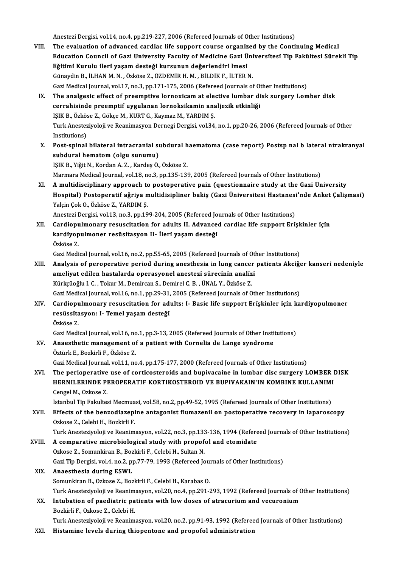Anestezi Dergisi, vol.14, no.4, pp.219-227, 2006 (Refereed Journals of Other Institutions)<br>The evaluation of advanced cardias life sunnert seures exsenised by the Centi

- Anestezi Dergisi, vol.14, no.4, pp.219-227, 2006 (Refereed Journals of Other Institutions)<br>VIII. The evaluation of advanced cardiac life support course organized by the Continuing Medical Anestezi Dergisi, vol.14, no.4, pp.219-227, 2006 (Refereed Journals of Other Institutions)<br>The evaluation of advanced cardiac life support course organized by the Continuing Medical<br>Education Council of Gazi University Fac The evaluation of advanced cardiac life support course organized by the Continuing Medical<br>Education Council of Gazi University Faculty of Medicine Gazi Üniversitesi Tip Fakültesi Sürekli Tip<br>Eğitimi Kurulu ileri yaşam des GünaydinB., İLHANM.N. ,Özköse Z.,ÖZDEMİRH.M. ,BİLDİKF., İLTERN. Gazi Medical Journal, vol.17, no.3, pp.171-175, 2006 (Refereed Journals of Other Institutions) Günaydin B., İLHAN M. N. , Özköse Z., ÖZDEMİR H. M. , BİLDİK F., İLTER N.<br>Gazi Medical Journal, vol.17, no.3, pp.171-175, 2006 (Refereed Journals of Other Institutions)<br>IX. The analgesic effect of preemptive lornoxicam at
- Gazi Medical Journal, vol.17, no.3, pp.171-175, 2006 (Refereed Journals of Othe analgesic effect of preemptive lornoxicam at elective lumbar di<br>cerrahisinde preemptif uygulanan lornoksikamin analjezik etkinliği<br>ISIK B. Özk The analgesic effect of preemptive lornoxicam at electrahisinde preemptif uygulanan lornoksikamin ana<br>IŞIK B., Özköse Z., Gökçe M., KURT G., Kaymaz M., YARDIM Ş.<br>Turk Anesteriyeleji ve Beanimasyon Dernesi Dersisi vel 34 cerrahisinde preemptif uygulanan lornoksikamin analjezik etkinliği<br>IŞIK B., Özköse Z., Gökçe M., KURT G., Kaymaz M., YARDIM Ş.<br>Turk Anesteziyoloji ve Reanimasyon Dernegi Dergisi, vol.34, no.1, pp.20-26, 2006 (Refereed Jour IŞIK B., Özkös<br>Turk Anestez<br>Institutions)<br>Boet spinal
- Turk Anesteziyoloji ve Reanimasyon Dernegi Dergisi, vol.34, no.1, pp.20-26, 2006 (Refereed Journals of Other<br>Institutions)<br>X. Post-spinal bilateral intracranial subdural haematoma (case report) Postsp nal b lateral ntrakra Institutions)<br>X. Post-spinal bilateral intracranial subdural haematoma (case report) Postsp nal b lateral ntrakranyal<br>subdural hematom (olgu sunumu)

IŞIKB.,YiǧitN.,KordanA.Z. ,KardeşÖ.,Özköse Z. Marmara Medical Journal, vol.18, no.3, pp.135-139, 2005 (Refereed Journals of Other Institutions)

XI. Amultidisciplinary approach to postoperative pain (questionnaire study at the Gazi University Marmara Medical Journal, vol.18, no.3, pp.135-139, 2005 (Refereed Journals of Other Institutions)<br>A multidisciplinary approach to postoperative pain (questionnaire study at the Gazi University<br>Hospital) Postoperatif ağriya A multidisciplinary approach to<br>Hospital) Postoperatif ağriya n<br>Yalçin Çok O., Özköse Z., YARDIM Ş.<br>Anesteri Dergisi val 13 no 3 nn 10 Hospital) Postoperatif ağriya multidisipliner bakiş (Gazi Üniversitesi Hastanesi<br>Yalçin Çok O., Özköse Z., YARDIM Ş.<br>Anestezi Dergisi, vol.13, no.3, pp.199-204, 2005 (Refereed Journals of Other Institutions)<br>Cardionylmener

Yalçin Çok O., Özköse Z., YARDIM Ş.<br>Anestezi Dergisi, vol.13, no.3, pp.199-204, 2005 (Refereed Journals of Other Institutions)<br>XII. Cardiopulmonary resuscitation for adults II. Advanced cardiac life support Erişkinler Anestezi Dergisi, vol.13, no.3, pp.199-204, 2005 (Refereed Journals of Other Institutions)<br>Cardiopulmonary resuscitation for adults II. Advanced cardiac life support Eri<br>kardiyopulmoner resüsitasyon II- İleri yaşam desteği Cardiopu<br>kardiyop<br>Özköse Z.<br>*Cari* Modi kardiyopulmoner resüsitasyon II- İleri yaşam desteği<br>Özköse Z.<br>Gazi Medical Journal, vol.16, no.2, pp.55-65, 2005 (Refereed Journals of Other Institutions)<br>Analysis of pereperative period during apesthesia in lung sanser p

Özköse Z.<br>Gazi Medical Journal, vol.16, no.2, pp.55-65, 2005 (Refereed Journals of Other Institutions)<br>XIII. Analysis of peroperative period during anesthesia in lung cancer patients Akciğer kanseri nedeniyle<br>Analysis Gazi Medical Journal, vol.16, no.2, pp.55-65, 2005 (Refereed Journals of Oth<br>Analysis of peroperative period during anesthesia in lung cancer<br>ameliyat edilen hastalarda operasyonel anestezi sürecinin analizi<br>Kürksioğlu L.C Analysis of peroperative period during anesthesia in lung cancer<br>ameliyat edilen hastalarda operasyonel anestezi sürecinin analiz<br>Kürkçüoğlu I.C. ,Tokur M., Demircan S., Demirel C. B. , ÜNAL Y., Özköse Z.<br>Ceri Medisel Jour ameliyat edilen hastalarda operasyonel anestezi sürecinin analizi<br>Kürkçüoğlu I. C. , Tokur M., Demircan S., Demirel C. B. , ÜNAL Y., Özköse Z.<br>Gazi Medical Journal, vol.16, no.1, pp.29-31, 2005 (Refereed Journals of Other

XIV. Cardiopulmonary resuscitation for adults: I- Basic life support Eri̇şki̇nler i̇çi̇n kardi̇yopulmoner Gazi Medical Journal, vol.16, no.1, pp.29-31,<br>Cardiopulmonary resuscitation for adı<br>resüssitasyon: I- Temel yaşam desteği<br>Özköse 7 Cardiopu<br>resüssita<br>Özköse Z.<br>Cari Modi Özköse Z.<br>Gazi Medical Journal, vol.16, no.1, pp.3-13, 2005 (Refereed Journals of Other Institutions)

- Özköse Z.<br>Gazi Medical Journal, vol.16, no.1, pp.3-13, 2005 (Refereed Journals of Other Insti<br>XV. Anaesthetic management of a patient with Cornelia de Lange syndrome Gazi Medical Journal, vol.16, no<br><mark>Anaesthetic management o</mark><br>Öztürk E., Bozkirli F., Özköse Z.<br>Cari Medical Journal val.11, no Öztürk E., Bozkirli F., Özköse Z.<br>Gazi Medical Journal, vol.11, no.4, pp.175-177, 2000 (Refereed Journals of Other Institutions)
- Öztürk E., Bozkirli F., Özköse Z.<br>Gazi Medical Journal, vol.11, no.4, pp.175-177, 2000 (Refereed Journals of Other Institutions)<br>XVI. The perioperative use of corticosteroids and bupivacaine in lumbar disc surgery LOMB Gazi Medical Journal, vol.11, no.4, pp.175-177, 2000 (Refereed Journals of Other Institutions)<br>The perioperative use of corticosteroids and bupivacaine in lumbar disc surgery LOMBER l<br>HERNILERINDE PEROPERATIF KORTIKOSTEROI The perioperative<br>HERNILERINDE PI<br>Cengel M., Ozkose Z.<br>Istanbul Tin Falzulte HERNILERINDE PEROPERATIF KORTIKOSTEROID VE BUPIVAKAIN'IN KOMBINE KULLANIMI<br>Cengel M., Ozkose Z.<br>Istanbul Tip Fakultesi Mecmuasi, vol.58, no.2, pp.49-52, 1995 (Refereed Journals of Other Institutions)<br>Effects of the bengedi

Cengel M., Ozkose Z.<br>Istanbul Tip Fakultesi Mecmuasi, vol.58, no.2, pp.49-52, 1995 (Refereed Journals of Other Institutions)<br>XVII. Effects of the benzodiazepine antagonist flumazenil on postoperative recovery in laparoscop Istanbul Tip Fakultesi Mecmua<br>Effects of the benzodiazepi<br>Ozkose Z., Celebi H., Bozkirli F.<br>Turk Anesteriveleji ve Beanim Effects of the benzodiazepine antagonist flumazenil on postoperative recovery in laparoscopy<br>Ozkose Z., Celebi H., Bozkirli F.<br>Turk Anesteziyoloji ve Reanimasyon, vol.22, no.3, pp.133-136, 1994 (Refereed Journals of Other

- Ozkose Z., Celebi H., Bozkirli F.<br>Turk Anesteziyoloji ve Reanimasyon, vol.22, no.3, pp.133-136, 1994 (Refere<br>XVIII. A comparative microbiological study with propofol and etomidate<br>Ozkose Z., Somunkiran B., Bozkirli F., Cel Turk Anesteziyoloji ve Reanimasyon, vol.22, no.3, pp.133<br>A comparative microbiological study with propof<br>Ozkose Z., Somunkiran B., Bozkirli F., Celebi H., Sultan N.<br>Ceri Tip Dergisi vol.4, no.3, np.77.79, 1993 (Befereed Je A comparative microbiological study with propofol and etomidate<br>Ozkose Z., Somunkiran B., Bozkirli F., Celebi H., Sultan N.<br>Gazi Tip Dergisi, vol.4, no.2, pp.77-79, 1993 (Refereed Journals of Other Institutions)<br>Anagathosi
	- XIX. Anaesthesia during ESWL Gazi Tip Dergisi, vol.4, no.2, pp.77-79, 1993 (Refereed Jou:<br>Anaesthesia during ESWL<br>Somunkiran B., Ozkose Z., Bozkirli F., Celebi H., Karabas O.<br>Turk Anastarivolaji ve Boanimasyon, vol.20, no.4, np.391.1 Turk Anesteziyoloji ve Reanimasyon, vol.20, no.4, pp.291-293, 1992 (Refereed Journals of Other Institutions) Somunkiran B., Ozkose Z., Bozkirli F., Celebi H., Karabas O.<br>Turk Anesteziyoloji ve Reanimasyon, vol.20, no.4, pp.291-293, 1992 (Refereed Journals of Correction of paediatric patients with low doses of atracurium and vecur
	- Turk Anesteziyoloji ve Reanim<br><mark>Intubation of paediatric pa</mark><br>Bozkirli F., Ozkose Z., Celebi H.<br>Turk Anesteriyoloji ve Beanim Bozkirli F., Ozkose Z., Celebi H.<br>Turk Anesteziyoloji ve Reanimasyon, vol.20, no.2, pp.91-93, 1992 (Refereed Journals of Other Institutions)

XXI. Histamine levels during thiopentone and propofol administration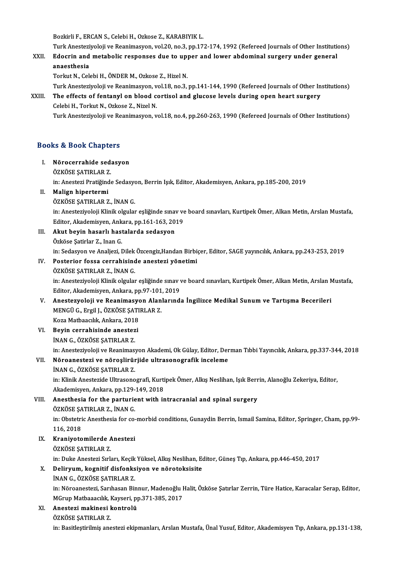BozkirliF.,ERCANS.,CelebiH.,Ozkose Z.,KARABIYIKL.

Bozkirli F., ERCAN S., Celebi H., Ozkose Z., KARABIYIK L.<br>Turk Anesteziyoloji ve Reanimasyon, vol.20, no.3, pp.172-174, 1992 (Refereed Journals of Other Institutions)<br>Edeenin and metabolis responses due to unner and lower

XXII. Edocrin and metabolic responses due to upper and lower abdominal surgery under general<br>anaesthesia Turk Anestezi<br><mark>Edocrin and</mark><br>anaesthesia<br>Terlut N. Col

Torkut N., Celebi H., ÖNDER M., Ozkose Z., Hizel N.

Turk Anesteziyoloji ve Reanimasyon, vol.18, no.3, pp.141-144, 1990 (Refereed Journals of Other Institutions)

### Torkut N., Celebi H., ÖNDER M., Ozkose Z., Hizel N.<br>Turk Anesteziyoloji ve Reanimasyon, vol.18, no.3, pp.141-144, 1990 (Refereed Journals of Other In<br>XXIII. The effects of fentanyl on blood cortisol and glucose levels duri Turk Anesteziyoloji ve Reanimasyon, v<br>The effects of fentanyl on blood c<br>Celebi H., Torkut N., Ozkose Z., Nizel N.<br>Turk Anesteriyoloji ve Beanimasyon, v Celebi H., Torkut N., Ozkose Z., Nizel N.<br>Turk Anesteziyoloji ve Reanimasyon, vol.18, no.4, pp.260-263, 1990 (Refereed Journals of Other Institutions)

# Turk Anesteziyoloji ve Re<br>Books & Book Chapters<br>-

## ooks & Book Chapters<br>I. Nörocerrahide sedasyon<br>ÖZVÖSE SATIBLAR Z I. Nörocerrahide sedasyon<br>ÖZKÖSE ŞATIRLAR Z.

Nörocerrahide sedasyon<br>ÖZKÖSE ŞATIRLAR Z.<br>in: Anestezi Pratiğinde Sedasyon, Berrin Işık, Editor, Akademisyen, Ankara, pp.185-200, 2019<br>Malian binertermi in: Anestezi Pratiğinde Sedasyo<br><mark>Malign hipertermi</mark><br>ÖZKÖSE ŞATIRLAR Z., İNAN G.<br>in: Anesteriyeleji Klinik elsuler

II. Malign hipertermi<br>ÖZKÖSE ŞATIRLAR Z., İNAN G.

Malign hipertermi<br>ÖZKÖSE ŞATIRLAR Z., İNAN G.<br>in: Anesteziyoloji Klinik olgular eşliğinde sınav ve board sınavları, Kurtipek Ömer, Alkan Metin, Arslan Mustafa,<br>Editen, Alademisyan, Ankara, pp.161-162-2019. ÖZKÖSE ŞATIRLAR Z., İNAN G.<br>in: Anesteziyoloji Klinik olgular eşliğinde sınav ve<br>Editor, Akademisyen, Ankara, pp.161-163, 2019<br>Akut boyin başarlı baştalarda sodasyon in: Anesteziyoloji Klinik olgular eşliğinde sına<br>Editor, Akademisyen, Ankara, pp.161-163, 20<br>III. Akut beyin hasarlı hastalarda sedasyon

Editor, Akademisyen, Ank<br><mark>Akut beyin hasarlı hası</mark><br>Özköse Şatirlar Z., Inan G.<br>inı Sodasyon ve Analiezi I Özköse Şatirlar Z., Inan G.<br>in: Sedasyon ve Analjezi, Dilek Özcengiz,Handan Birbiçer, Editor, SAGE yayıncılık, Ankara, pp.243-253, 2019 Özköse Şatirlar Z., Inan G.<br>in: Sedasyon ve Analjezi, Dilek Özcengiz,Handan Birbi<br>IV. Posterior fossa cerrahisinde anestezi yönetimi<br>ÖZKÖSE SATIBLAR Z. İNAN G in: Sedasyon ve Analjezi, Dilek<br>Posterior fossa cerrahisind<br>ÖZKÖSE ŞATIRLAR Z., İNAN G.<br>in: Anesteriyeleji Klinik elaylet

Posterior fossa cerrahisinde anestezi yönetimi<br>ÖZKÖSE ŞATIRLAR Z., İNAN G.<br>in: Anesteziyoloji Klinik olgular eşliğinde sınav ve board sınavları, Kurtipek Ömer, Alkan Metin, Arslan Mustafa,<br>Editor, Alademisyon, Ankara, pp.9 ÖZKÖSE ŞATIRLAR Z., İNAN G.<br>in: Anesteziyoloji Klinik olgular eşliğinde sınav v<br>Editor, Akademisyen, Ankara, pp.97-101, 2019<br>Anestezueleji ve Beanimasyen, Alanlarınd in: Anesteziyoloji Klinik olgular eşliğinde sınav ve board sınavları, Kurtipek Ömer, Alkan Metin, Arslan N<br>Editor, Akademisyen, Ankara, pp.97-101, 2019<br>V. Anestezyoloji ve Reanimasyon Alanlarında İngilizce Medikal Sunum ve

- Editor, Akademisyen, Ankara, pp.97-101, 2019<br>Anestezyoloji ve Reanimasyon Alanlarınd<br>MENGÜ G., Ergil J., ÖZKÖSE ŞATIRLAR Z.<br>Koza Matbaacılık. Ankara. 2018 V. Anestezyoloji ve Reanimasyon Alanlarında İngilizce Medikal Sunum ve Tartışma Becerileri MENGÜ G., Ergil J., ÖZKÖSE ŞATI<br>Koza Matbaacılık, Ankara, 2018<br>VI. Beyin cerrahisinde anestezi
- Koza Matbaacılık, Ankara, 2011<br>Beyin cerrahisinde anestez<br>İNAN G., ÖZKÖSE ŞATIRLAR Z. Beyin cerrahisinde anestezi<br>İNAN G., ÖZKÖSE ŞATIRLAR Z.<br>in: Anesteziyoloji ve Reanimasyon Akademi, Ok Gülay, Editor, Derman Tıbbi Yayıncılık, Ankara, pp.337-344, 2018<br>Nörsenesteri ve nöreslinünüde ultresenesrefik inseleme INAN G., ÖZKÖSE ŞATIRLAR Z.<br>in: Anesteziyoloji ve Reanimasyon Akademi, Ok Gülay, Editor, Der<br>VII. Nöroanestezi ve nöroşlirürjide ultrasonografik inceleme<br>INAN G., ÖZKÖSE ŞATIRLAR Z. in: Anesteziyoloji ve Reanimas<br>Nõroanestezi ve nõroşlirür<br>İNAN G., ÖZKÖSE ŞATIRLAR Z.<br>in: Klinik Anesteride Ultresene

Nöroanestezi ve nöroşlirürjide ultrasonografik inceleme<br>İNAN G., ÖZKÖSE ŞATIRLAR Z.<br>in: Klinik Anestezide Ultrasonografi, Kurtipek Ömer, Alkış Neslihan, Işık Berrin, Alanoğlu Zekeriya, Editor,<br>Akademisyon, Ankara, nn 129, INAN G., ÖZKÖSE ŞATIRLAR Z.<br>in: Klinik Anestezide Ultrasonografi, Kurti<br>Akademisyen, Ankara, pp.129-149, 2018<br>Anesthesia for the parturiant with it in: Klinik Anestezide Ultrasonografi, Kurtipek Ömer, Alkış Neslihan, Işık Berr<br>Akademisyen, Ankara, pp.129-149, 2018<br>VIII. Anesthesia for the parturient with intracranial and spinal surgery<br>ÖZKÖSE SATIBLAR Z. İNAN C

## Akademisyen, Ankara, pp.129-<br>Anesthesia for the parturie<br>ÖZKÖSE ŞATIRLAR Z., İNAN G.<br>in: Obstetris Anesthesia for se

VIII. Anesthesia for the parturient with intracranial and spinal surgery<br>ÖZKÖSE ŞATIRLAR Z., İNAN G.<br>in: Obstetric Anesthesia for co-morbid conditions, Gunaydin Berrin, Ismail Samina, Editor, Springer, Cham, pp.99-<br>116, 20 ÖZKÖSE ŞA<br>in: Obstetri<br>116, 2018<br>Kraniyata in: Obstetric Anesthesia for co-<br>116, 2018<br>IX. Kraniyotomilerde Anestezi<br>ÖZKÖSE SATIBLAR Z

## 116, 2018<br>Kraniyotomilerde A<br>ÖZKÖSE ŞATIRLAR Z.<br>in: Duke Anesteri Suk

ÖZKÖSE ŞATIRLAR Z.<br>in: Duke Anestezi Sırları, Keçik Yüksel, Alkış Neslihan, Editor, Güneş Tıp, Ankara, pp.446-450, 2017

## ÖZKÖSE ŞATIRLAR Z.<br>in: Duke Anestezi Sırları, Keçik Yüksel, Alkış Neslihan, Eq.<br>X. Deliryum, kognitif disfonksiyon ve nörotoksisite<br>iNAN G. ÖZKÖSE SATIRLAR Z. in: Duke Anestezi Sırları, Keçik<br><mark>Deliryum, kognitif disfonks</mark><br>İNAN G., ÖZKÖSE ŞATIRLAR Z.<br>in: Nöreenesteri, Sarıbasan Bir

Delir<mark>yum, kognitif disfonksiyon ve nörotoksisite</mark><br>İNAN G., ÖZKÖSE ŞATIRLAR Z.<br>in: Nöroanestezi, Sarıhasan Binnur, Madenoğlu Halit, Özköse Şatırlar Zerrin, Türe Hatice, Karacalar Serap, Editor, İNAN G., ÖZKÖSE ŞATIRLAR Z.<br>in: Nöroanestezi, Sarıhasan Binnur, Madenoğlu I<br>MGrup Matbaaacılık, Kayseri, pp.371-385, 2017<br>Anesteri makinesi kentrelü MGrup Matbaaacılık, Kayseri, pp.371-385, 2017

### XI. Anestezi makinesi kontrolü<br>ÖZKÖSE ŞATIRLAR Z.

in: Basitleştirilmiş anestezi ekipmanları, Arslan Mustafa, Ünal Yusuf, Editor, Akademisyen Tıp, Ankara, pp.131-138,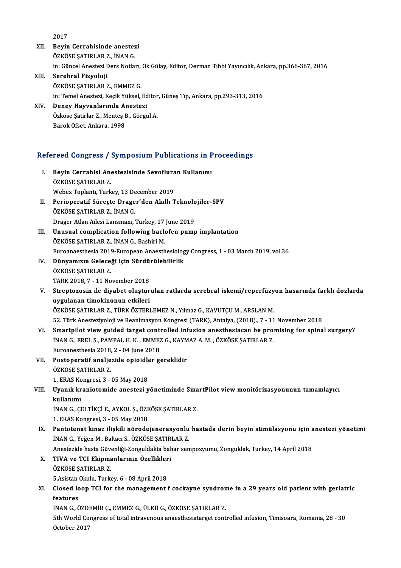2017

- XII. Beyin Cerrahisinde anestezi ÖZKÖSE SATIRLAR Z., İNAN G. Beyin Cerrahisinde anestezi<br>ÖZKÖSE ŞATIRLAR Z., İNAN G.<br>in: Güncel Anestezi Ders Notları, Ok Gülay, Editor, Derman Tıbbi Yayıncılık, Ankara, pp.366-367, 2016<br>Sarahral Eizveleii
- XIII. Serebral Fizyoloji<br>ÖZKÖSE ŞATIRLAR Z., EMMEZ G. in: Güncel Anestezi Ders Notları,<br>Serebral Fizyoloji<br>ÖZKÖSE ŞATIRLAR Z., EMMEZ G.<br>in: Temel Anesteri, Kesik Yüksel Serebral Fizyoloji<br>ÖZKÖSE ŞATIRLAR Z., EMMEZ G.<br>in: Temel Anestezi, Keçik Yüksel, Editor, Güneş Tıp, Ankara, pp.293-313, 2016<br>Daney Hawyanlarında Anesteri ÖZKÖSE ŞATIRLAR Z., EMMEZ G.<br>in: Temel Anestezi, Keçik Yüksel, Ed<br>XIV. Deney Hayvanlarında Anestezi
- in: Temel Anestezi, Keçik Yüksel, Editor<br>Deney Hayvanlarında Anestezi<br>Özköse Şatirlar Z., Menteş B., Görgül A.<br>Parek Ofest, Ankara, 1998 Deney Hayvanlarında Anestezi<br>Özköse Şatirlar Z., Menteş B., Görgül A.<br>Barok Ofset, Ankara, 1998

# вагок овец Апкага, 1998<br>Refereed Congress / Symposium Publications in Proceedings

- efereed Congress / Symposium Publications in P<br>I. Beyin Cerrahisi Anestezisinde Sevofluran Kullanımı<br>ÖZVÖSE SATIBI AP Z Beyin Cerrahisi Anestezisinde Sevofluran Kullanımı<br>ÖZKÖSE SATIRLAR Z. Beyin Cerrahisi Anestezisinde Sevoflura<br>ÖZKÖSE ŞATIRLAR Z.<br>Webex Toplantı, Turkey, 13 December 2019<br>Perioneratif Süneste Dreger'den Akıllı T ÖZKÖSE ŞATIRLAR Z.<br>Webex Toplantı, Turkey, 13 December 2019<br>II. Perioperatif Süreçte Drager'den Akıllı Teknolojiler-SPV<br>ÖZVÖSE SATIPLAR Z. İNAN C.
- Webex Toplantı, Turkey, 13 De<br>Perioperatif Süreçte Drage<br>ÖZKÖSE ŞATIRLAR Z., İNAN G.<br>Dragar Atlan Ailesi Lanamanı i Perioperatif Süreçte Drager'den Akıllı Teknolo<br>ÖZKÖSE ŞATIRLAR Z., İNAN G.<br>Drager Atlan Ailesi Lansmanı, Turkey, 17 June 2019<br>Unusual samplisation following baslafan numr ÖZKÖSE ŞATIRLAR Z., İNAN G.<br>Drager Atlan Ailesi Lansmanı, Turkey, 17 June 2019<br>III. Unusual complication following baclofen pump implantation
- ÖZKÖSE ŞATIRLAR Z., İNAN G., Bashiri M. Euroanaesthesia 2019-EuropeanAnaesthesiologyCongress,1 -03March 2019,vol.36 ÖZKÖSE ŞATIRLAR Z., İNAN G., Bashiri M.<br>Euroanaesthesia 2019-European Anaesthesiolog<br>IV. Dünyamızın Geleceği için Sürdürülebilirlik<br>ÖZKÖSE SATIBLAR Z
- Euroanaesthesia 2019<br>Dünyamızın Gelece<br>ÖZKÖSE ŞATIRLAR Z.<br>TARK 2019 7 11 No Dünyamızın Geleceği için Sürdü:<br>ÖZKÖSE ŞATIRLAR Z.<br>TARK 2018, 7 - 11 November 2018<br>Strenteresin ile diyebet elustur
- ÖZKÖSE ŞATIRLAR Z.<br>TARK 2018, 7 11 November 2018<br>V. Streptozosin ile diyabet oluşturulan ratlarda serebral iskemi/reperfüzyon hasarında farklı dozlarda<br>www.lanen timekinenun etkileri TARK 2018, 7 - 11 November 2018<br>Streptozosin ile diyabet oluştur<br>uygulanan timokinonun etkileri<br>özvöss satıpı ap zerüpv öztepi Streptozosin ile diyabet oluşturulan ratlarda serebral iskemi/reperfüzy<br>uygulanan timokinonun etkileri<br>ÖZKÖSE ŞATIRLAR Z., TÜRK ÖZTERLEMEZ N., Yılmaz G., KAVUTÇU M., ARSLAN M.<br>52. Türk Anesteriyaleji ve Beanimesyan Kansres uygulanan timokinonun etkileri<br>ÖZKÖSE ŞATIRLAR Z., TÜRK ÖZTERLEMEZ N., Yılmaz G., KAVUTÇU M., ARSLAN M.<br>52. Türk Anesteziyoloji ve Reanimasyon Kongresi (TARK), Antalya, (2018)., 7 - 11 November 2018<br>Smartnilet view guided ÖZKÖSE ŞATIRLAR Z., TÜRK ÖZTERLEMEZ N., Yılmaz G., KAVUTÇU M., ARSLAN M.<br>52. Türk Anesteziyoloji ve Reanimasyon Kongresi (TARK), Antalya, (2018)., 7 - 11 November 2018<br>1. Smartpilot view guided target controlled infusion a
- 52. Türk Anesteziyoloji ve Reanimasyon Kongresi (TARK), Antalya, (2018)., 7 11<br>Smartpilot view guided target controlled infusion anesthesiacan be pro:<br>İNAN G., EREL S., PAMPAL H. K. , EMMEZ G., KAYMAZ A. M. , ÖZKÖSE ŞATI İNAN G., EREL S., PAMPAL H. K., EMMEZ G., KAYMAZ A. M., ÖZKÖSE ŞATIRLAR Z. Euroanesthesia 2018, 2 - 04 June 2018
- VII. Postoperatif analjezide opioidler gereklidir<br>ÖZKÖSE SATIRLAR Z. Postoperatif analjezide opioidle<br>ÖZKÖSE ŞATIRLAR Z.<br>1. ERAS Kongresi, 3 - 05 May 2018<br>Hyanık kranistamide anastari y
- VIII. Uyanık kraniotomide anestezi yönetiminde SmartPilot view monitörizasyonunun tamamlayıcı<br>kullanımı 1. ERAS Ko<br>Uyanık kr<br>kullanımı<br>İNAN C. Cl

İNANG.,ÇELTİKÇİE.,AYKOL Ş.,ÖZKÖSEŞATIRLARZ.

1.ERASKongresi,3 -05May2018

INAN G., ÇELTİKÇİ E., AYKOL Ş., ÖZKÖSE ŞATIRLAR Z.<br>1. ERAS Kongresi, 3 - 05 May 2018<br>IX. Pantotenat kinaz ilişkili nörodejenerasyonlu hastada derin beyin stimülasyonu için anestezi yönetimi<br>INAN C. Veğen M. Peltag S. Ö 1. ERAS Kongresi, 3 - 05 May 2018<br>Pantotenat kinaz ilişkili nörodejenerasyonlu<br>İNAN G., Yeğen M., Baltacı S., ÖZKÖSE ŞATIRLAR Z.<br>Anesteride basta Güyenliği Zenguldakta babar sen Pantotenat kinaz ilişkili nörodejenerasyonlu hastada derin beyin stimülasyonu için a<br>İNAN G., Yeğen M., Baltacı S., ÖZKÖSE ŞATIRLAR Z.<br>Anestezide hasta Güvenliği-Zonguldakta bahar sempozyumu, Zonguldak, Turkey, 14 April 20

İNAN G., Yeğen M., Baltacı S., ÖZKÖSE ŞATIR<br>Anestezide hasta Güvenliği-Zonguldakta bah<br>X. TIVA ve TCI Ekipmanlarının Özellikleri<br>ÖZVÖSE SATIRLAR Z Anestezide hasta Güve<br>TIVA ve TCI Ekipma<br>ÖZKÖSE ŞATIRLAR Z.<br>E Asistan Olahn Turks TIVA ve TCI Ekipmanlarının Özellikler<br>ÖZKÖSE ŞATIRLAR Z.<br>5.Asistan Okulu, Turkey, 6 - 08 April 2018<br>Clased Jean TCI far the managamant t

ÖZKÖSE ŞATIRLAR Z.<br>5.Asistan Okulu, Turkey, 6 - 08 April 2018<br>XI. Closed loop TCI for the management f cockayne syndrome in a 29 years old patient with geriatric<br>features 5.Asistan<br>Closed lo<br>features<br>iNAN.C. Ö Closed loop TCI for the management f cockayne syndron<br>features<br>İNAN G., ÖZDEMİR Ç., EMMEZ G., ÜLKÜ G., ÖZKÖSE ŞATIRLAR Z.<br>Eth World Congress of tatel intreveneve anaesthesisterset sent

İNAN G., ÖZDEMİR C., EMMEZ G., ÜLKÜ G., ÖZKÖSE SATIRLAR Z.

features<br>İNAN G., ÖZDEMİR Ç., EMMEZ G., ÜLKÜ G., ÖZKÖSE ŞATIRLAR Z.<br>5th World Congress of total intravenous anaesthesiatarget controlled infusion, Timisoara, Romania, 28 - 30<br>October 2017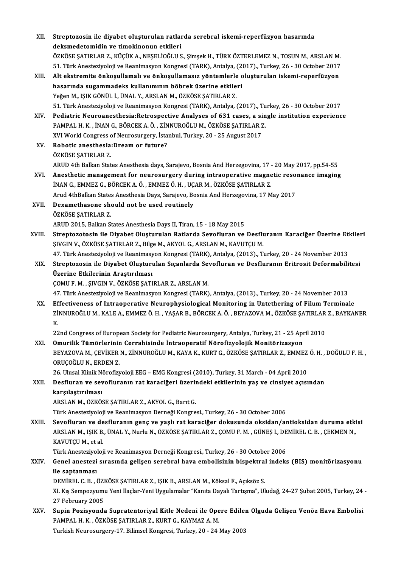| XII.   | Streptozosin ile diyabet oluşturulan ratlarda serebral iskemi-reperfüzyon hasarında                               |
|--------|-------------------------------------------------------------------------------------------------------------------|
|        | deksmedetomidin ve timokinonun etkileri                                                                           |
|        | ÖZKÖSE ŞATIRLAR Z., KÜÇÜK A., NEŞELİOĞLU S., Şimşek H., TÜRK ÖZTERLEMEZ N., TOSUN M., ARSLAN M.                   |
|        | 51. Türk Anesteziyoloji ve Reanimasyon Kongresi (TARK), Antalya, (2017)., Turkey, 26 - 30 October 2017            |
| XIII.  | Alt ekstremite önkoşullamalı ve önkoşullamasız yöntemlerle oluşturulan iskemi-reperfüzyon                         |
|        | hasarında sugammadeks kullanımının böbrek üzerine etkileri                                                        |
|        | Yeğen M., IŞIK GÖNÜL İ., ÜNAL Y., ARSLAN M., ÖZKÖSE ŞATIRLAR Z.                                                   |
|        | 51. Türk Anesteziyoloji ve Reanimasyon Kongresi (TARK), Antalya, (2017)., Turkey, 26 - 30 October 2017            |
| XIV.   | Pediatric Neuroanesthesia: Retrospective Analyses of 631 cases, a single institution experience                   |
|        | PAMPAL H. K., İNAN G., BÖRCEK A. Ö., ZİNNUROĞLU M., ÖZKÖSE ŞATIRLAR Z.                                            |
|        | XVI World Congress of Neurosurgery, İstanbul, Turkey, 20 - 25 August 2017                                         |
| XV.    | Robotic anesthesia: Dream or future?                                                                              |
|        | ÖZKÖSE ŞATIRLAR Z                                                                                                 |
|        | ARUD 4th Balkan States Anesthesia days, Sarajevo, Bosnia And Herzegovina, 17 - 20 May 2017, pp.54-55              |
| XVI.   | Anesthetic management for neurosurgery during intraoperative magnetic resonance imaging                           |
|        | İNAN G., EMMEZ G., BÖRCEK A. Ö., EMMEZ Ö. H., UÇAR M., ÖZKÖSE ŞATIRLAR Z.                                         |
|        | Arud 4thBalkan States Anesthesia Days, Sarajevo, Bosnia And Herzegovina, 17 May 2017                              |
| XVII.  | Dexamethasone should not be used routinely                                                                        |
|        | ÖZKÖSE ŞATIRLAR Z.                                                                                                |
|        | ARUD 2015, Balkan States Anesthesia Days II, Tiran, 15 - 18 May 2015                                              |
| XVIII. | Streptozotosin ile Diyabet Oluşturulan Ratlarda Sevofluran ve Desfluranın Karaciğer Üzerine Etkileri              |
|        | ŞIVGIN V., ÖZKÖSE ŞATIRLAR Z., Bilge M., AKYOL G., ARSLAN M., KAVUTÇU M.                                          |
|        | 47. Türk Anesteziyoloji ve Reanimasyon Kongresi (TARK), Antalya, (2013)., Turkey, 20 - 24 November 2013           |
| XIX.   | Streptozosin ile Diyabet Oluşturulan Sıçanlarda Sevofluran ve Desfluranın Eritrosit Deformabilitesi               |
|        | Üzerine Etkilerinin Araştırılması                                                                                 |
|        | ÇOMU F. M., ŞIVGIN V., ÖZKÖSE ŞATIRLAR Z., ARSLAN M.                                                              |
|        | 47. Türk Anesteziyoloji ve Reanimasyon Kongresi (TARK), Antalya, (2013)., Turkey, 20 - 24 November 2013           |
| XX.    | Effectiveness of Intraoperative Neurophysiological Monitoring in Untethering of Filum Terminale                   |
|        | ZİNNUROĞLU M., KALE A., EMMEZ Ö. H., YAŞAR B., BÖRCEK A. Ö., BEYAZOVA M., ÖZKÖSE ŞATIRLAR Z., BAYKANER            |
|        | K.                                                                                                                |
|        | 22nd Congress of European Society for Pediatric Neurosurgery, Antalya, Turkey, 21 - 25 April 2010                 |
| XXI.   | Omurilik Tümörlerinin Cerrahisinde İntraoperatif Nörofizyolojik Monitörizasyon                                    |
|        | BEYAZOVA M., ÇEVİKER N., ZİNNUROĞLU M., KAYA K., KURT G., ÖZKÖSE ŞATIRLAR Z., EMMEZ Ö. H., DOĞULU F. H.,          |
|        | ORUÇOĞLU N., ERDEN Z.                                                                                             |
|        | 26. Ulusal Klinik Nörofizyoloji EEG - EMG Kongresi (2010), Turkey, 31 March - 04 April 2010                       |
| XXII.  | Desfluran ve sevofluranın rat karaciğeri üzerindeki etkilerinin yaş ve cinsiyet açısından<br>karşılaştırılması    |
|        | ARSLAN M., ÖZKÖSE ŞATIRLAR Z., AKYOL G., Barıt G.                                                                 |
|        | Türk Anesteziyoloji ve Reanimasyon Derneği Kongresi., Turkey, 26 - 30 October 2006                                |
| XXIII. | Sevofluran ve desfluranın genç ve yaşlı rat karaciğer dokusunda oksidan/antioksidan duruma etkisi                 |
|        | ARSLAN M., IŞIK B., ÜNAL Y., Nurlu N., ÖZKÖSE ŞATIRLAR Z., ÇOMU F. M., GÜNEŞ I., DEMİREL C. B., ÇEKMEN N.,        |
|        | KAVUTÇU M., et al.                                                                                                |
|        | Türk Anesteziyoloji ve Reanimasyon Derneği Kongresi., Turkey, 26 - 30 October 2006                                |
| XXIV.  | Genel anestezi sırasında gelişen serebral hava embolisinin bispektral indeks (BIS) monitörizasyonu                |
|        | ile saptanması                                                                                                    |
|        | DEMİREL C. B., ÖZKÖSE ŞATIRLAR Z., IŞIK B., ARSLAN M., Köksal F., Açıksöz S.                                      |
|        | XI. Kış Sempozyumu Yeni İlaçlar-Yeni Uygulamalar "Kanıta Dayalı Tartışma", Uludağ, 24-27 Şubat 2005, Turkey, 24 - |
|        | 27 February 2005                                                                                                  |
| XXV.   | Supin Pozisyonda Supratentoriyal Kitle Nedeni ile Opere Edilen Olguda Gelişen Venöz Hava Embolisi                 |
|        | PAMPAL H. K., ÖZKÖSE ŞATIRLAR Z., KURT G., KAYMAZ A. M.                                                           |
|        | Turkish Neurosurgery-17. Bilimsel Kongresi, Turkey, 20 - 24 May 2003                                              |
|        |                                                                                                                   |